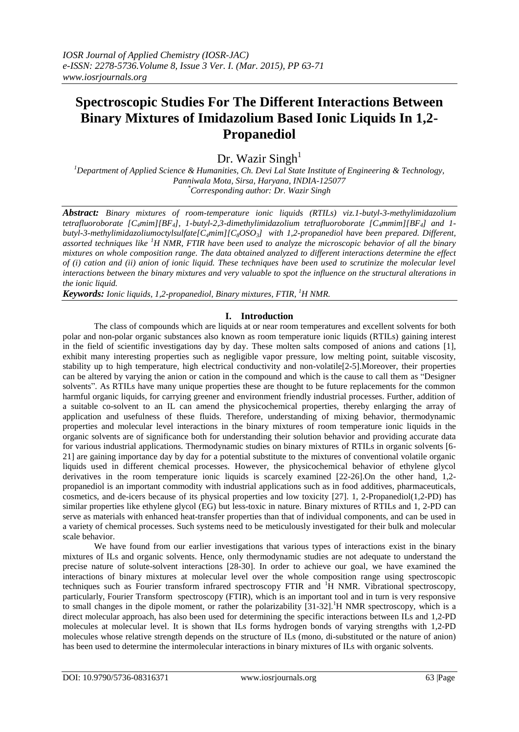# **Spectroscopic Studies For The Different Interactions Between Binary Mixtures of Imidazolium Based Ionic Liquids In 1,2- Propanediol**

Dr. Wazir  $Singh<sup>1</sup>$ 

*<sup>1</sup>Department of Applied Science & Humanities, Ch. Devi Lal State Institute of Engineering & Technology, Panniwala Mota, Sirsa, Haryana, INDIA-125077 \*Corresponding author: Dr. Wazir Singh*

*Abstract: Binary mixtures of room-temperature ionic liquids (RTILs) viz.1-butyl-3-methylimidazolium tetrafluoroborate [C4mim][BF4], 1-butyl-2,3-dimethylimidazolium tetrafluoroborate [C4mmim][BF4] and 1 butyl-3-methylimidazoliumoctylsulfate[C4mim][C8OSO3] with 1,2-propanediol have been prepared. Different, assorted techniques like <sup>1</sup>H NMR, FTIR have been used to analyze the microscopic behavior of all the binary mixtures on whole composition range. The data obtained analyzed to different interactions determine the effect of (i) cation and (ii) anion of ionic liquid. These techniques have been used to scrutinize the molecular level interactions between the binary mixtures and very valuable to spot the influence on the structural alterations in the ionic liquid.*

*Keywords: Ionic liquids, 1,2-propanediol, Binary mixtures, FTIR, <sup>1</sup>H NMR.*

## **I. Introduction**

The class of compounds which are liquids at or near room temperatures and excellent solvents for both polar and non-polar organic substances also known as room temperature ionic liquids (RTILs) gaining interest in the field of scientific investigations day by day. These molten salts composed of anions and cations [1], exhibit many interesting properties such as negligible vapor pressure, low melting point, suitable viscosity, stability up to high temperature, high electrical conductivity and non-volatile[2-5].Moreover, their properties can be altered by varying the anion or cation in the compound and which is the cause to call them as "Designer solvents". As RTILs have many unique properties these are thought to be future replacements for the common harmful organic liquids, for carrying greener and environment friendly industrial processes. Further, addition of a suitable co-solvent to an IL can amend the physicochemical properties, thereby enlarging the array of application and usefulness of these fluids. Therefore, understanding of mixing behavior, thermodynamic properties and molecular level interactions in the binary mixtures of room temperature ionic liquids in the organic solvents are of significance both for understanding their solution behavior and providing accurate data for various industrial applications. Thermodynamic studies on binary mixtures of RTILs in organic solvents [6- 21] are gaining importance day by day for a potential substitute to the mixtures of conventional volatile organic liquids used in different chemical processes. However, the physicochemical behavior of ethylene glycol derivatives in the room temperature ionic liquids is scarcely examined [22-26].On the other hand, 1,2 propanediol is an important commodity with industrial applications such as in food additives, pharmaceuticals, cosmetics, and de-icers because of its physical properties and low toxicity [27]. 1, 2-Propanediol(1,2-PD) has similar properties like ethylene glycol (EG) but less-toxic in nature. Binary mixtures of RTILs and 1, 2-PD can serve as materials with enhanced heat-transfer properties than that of individual components, and can be used in a variety of chemical processes. Such systems need to be meticulously investigated for their bulk and molecular scale behavior.

We have found from our earlier investigations that various types of interactions exist in the binary mixtures of ILs and organic solvents. Hence, only thermodynamic studies are not adequate to understand the precise nature of solute-solvent interactions [28-30]. In order to achieve our goal, we have examined the interactions of binary mixtures at molecular level over the whole composition range using spectroscopic techniques such as Fourier transform infrared spectroscopy FTIR and <sup>1</sup>H NMR. Vibrational spectroscopy, particularly, Fourier Transform spectroscopy (FTIR), which is an important tool and in turn is very responsive to small changes in the dipole moment, or rather the polarizability  $[31-32]$ .<sup>1</sup>H NMR spectroscopy, which is a direct molecular approach, has also been used for determining the specific interactions between ILs and 1,2-PD molecules at molecular level. It is shown that ILs forms hydrogen bonds of varying strengths with 1,2-PD molecules whose relative strength depends on the structure of ILs (mono, di-substituted or the nature of anion) has been used to determine the intermolecular interactions in binary mixtures of ILs with organic solvents.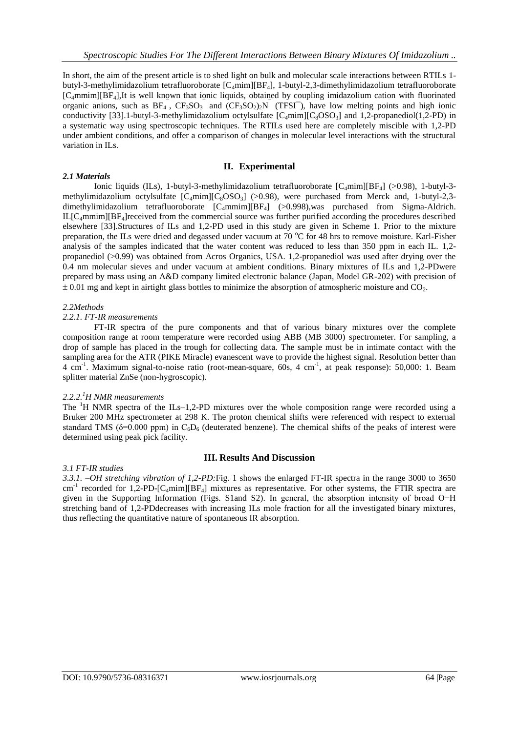In short, the aim of the present article is to shed light on bulk and molecular scale interactions between RTILs 1 butyl-3-methylimidazolium tetrafluoroborate [C4mim][BF4], 1-butyl-2,3-dimethylimidazolium tetrafluoroborate  $[C_4$ mmim][BF<sub>4</sub>],It is well known that ionic liquids, obtained by coupling imidazolium cation with fluorinated organic anions, such as  $BF_4$ ,  $CF_3SO_3$  and  $(CF_3SO_2)_2N$  (TFSI<sup>-</sup>), have low melting points and high ionic conductivity [33].1-butyl-3-methylimidazolium octylsulfate  $[C_4mim][C_8OSO_3]$  and 1,2-propanediol(1,2-PD) in a systematic way using spectroscopic techniques. The RTILs used here are completely miscible with 1,2-PD under ambient conditions, and offer a comparison of changes in molecular level interactions with the structural variation in ILs.

## **II. Experimental**

## Ionic liquids (ILs), 1-butyl-3-methylimidazolium tetrafluoroborate  $[C_4$ mim $[BF_4]$  (>0.98), 1-butyl-3methylimidazolium octylsulfate  $[C_4mim][C_8OSO_3]$  (>0.98), were purchased from Merck and, 1-butyl-2,3dimethylimidazolium tetrafluoroborate  $[C_4$ mmim][BF<sub>4</sub>] (>0.998),was purchased from Sigma-Aldrich.  $IL[C_4mmin][BF_4]$ received from the commercial source was further purified according the procedures described elsewhere [33].Structures of ILs and 1,2-PD used in this study are given in Scheme 1. Prior to the mixture preparation, the ILs were dried and degassed under vacuum at 70 °C for 48 hrs to remove moisture. Karl-Fisher analysis of the samples indicated that the water content was reduced to less than 350 ppm in each IL. 1,2 propanediol (>0.99) was obtained from Acros Organics, USA. 1,2-propanediol was used after drying over the

0.4 nm molecular sieves and under vacuum at ambient conditions. Binary mixtures of ILs and 1,2-PDwere prepared by mass using an A&D company limited electronic balance (Japan, Model GR-202) with precision of  $\pm$  0.01 mg and kept in airtight glass bottles to minimize the absorption of atmospheric moisture and CO<sub>2</sub>.

## *2.2Methods*

*2.1 Materials* 

## *2.2.1. FT-IR measurements*

FT-IR spectra of the pure components and that of various binary mixtures over the complete composition range at room temperature were recorded using ABB (MB 3000) spectrometer. For sampling, a drop of sample has placed in the trough for collecting data. The sample must be in intimate contact with the sampling area for the ATR (PIKE Miracle) evanescent wave to provide the highest signal. Resolution better than 4 cm<sup>-1</sup>. Maximum signal-to-noise ratio (root-mean-square, 60s, 4 cm<sup>-1</sup>, at peak response): 50,000: 1. Beam splitter material ZnSe (non-hygroscopic).

## *2.2.2.<sup>1</sup>H NMR measurements*

The  $H<sup>1</sup>H NMR$  spectra of the ILs–1,2-PD mixtures over the whole composition range were recorded using a Bruker 200 MHz spectrometer at 298 K. The proton chemical shifts were referenced with respect to external standard TMS ( $\delta$ =0.000 ppm) in C<sub>6</sub>D<sub>6</sub> (deuterated benzene). The chemical shifts of the peaks of interest were determined using peak pick facility.

## **III. Results And Discussion**

## *3.1 FT-IR studies*

*3.3.1. –OH stretching vibration of 1,2-PD:*Fig. 1 shows the enlarged FT-IR spectra in the range 3000 to 3650  $cm^{-1}$  recorded for 1,2-PD-[C<sub>4</sub>mim][BF<sub>4</sub>] mixtures as representative. For other systems, the FTIR spectra are given in the Supporting Information (Figs. S1and S2). In general, the absorption intensity of broad O−H stretching band of 1,2-PDdecreases with increasing ILs mole fraction for all the investigated binary mixtures, thus reflecting the quantitative nature of spontaneous IR absorption.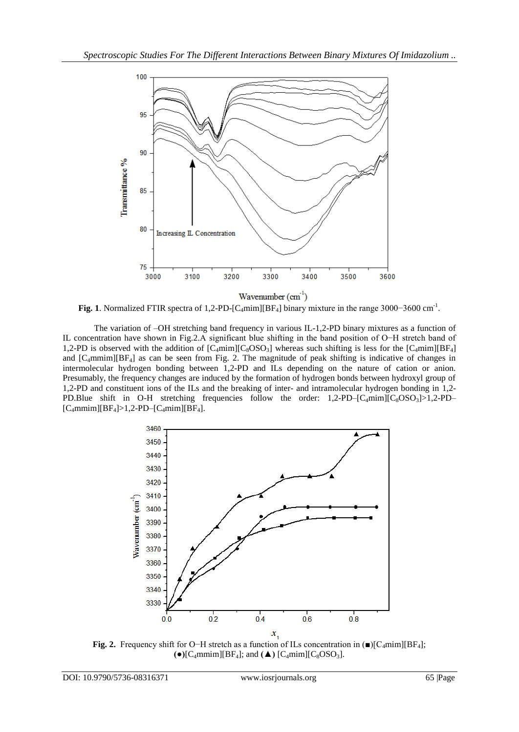

**Fig. 1**. Normalized FTIR spectra of 1,2-PD-[C4mim][BF4] binary mixture in the range 3000−3600 cm-1 .

The variation of –OH stretching band frequency in various IL-1,2-PD binary mixtures as a function of IL concentration have shown in Fig.2.A significant blue shifting in the band position of O−H stretch band of 1,2-PD is observed with the addition of  $[C_4mim][C_8OSO_3]$  whereas such shifting is less for the  $[C_4mim][BF_4]$ and  $[C_4$ mmim][BF<sub>4</sub>] as can be seen from Fig. 2. The magnitude of peak shifting is indicative of changes in intermolecular hydrogen bonding between 1,2-PD and ILs depending on the nature of cation or anion. Presumably, the frequency changes are induced by the formation of hydrogen bonds between hydroxyl group of 1,2-PD and constituent ions of the ILs and the breaking of inter- and intramolecular hydrogen bonding in 1,2- PD.Blue shift in O-H stretching frequencies follow the order:  $1,2$ -PD– $[C_4 \text{min}][C_8 \text{OSO}_3] > 1,2$ -PD–  $[C_4$ mmim][BF<sub>4</sub>]>1,2-PD–[C<sub>4</sub>mim][BF<sub>4</sub>].



**Fig. 2.** Frequency shift for O−H stretch as a function of ILs concentration in (■)[C<sub>4</sub>mim][BF<sub>4</sub>];  $\bullet$  [C<sub>4</sub>mmim][BF<sub>4</sub>]; and **(** $\blacktriangle$ ) [C<sub>4</sub>mim][C<sub>8</sub>OSO<sub>3</sub>].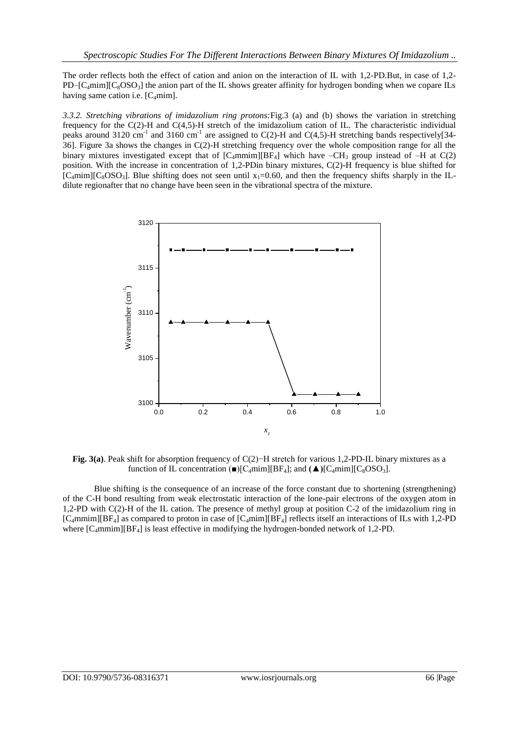The order reflects both the effect of cation and anion on the interaction of IL with 1,2-PD.But, in case of 1,2-  $PD- [C_4min][C_8OSO_3]$  the anion part of the IL shows greater affinity for hydrogen bonding when we copare ILs having same cation i.e.  $[C_4 \text{min}]$ .

*3.3.2. Stretching vibrations of imidazolium ring protons:*Fig.3 (a) and (b) shows the variation in stretching frequency for the C(2)-H and C(4,5)-H stretch of the imidazolium cation of IL. The characteristic individual peaks around 3120 cm<sup>-1</sup> and 3160 cm<sup>-1</sup> are assigned to C(2)-H and C(4,5)-H stretching bands respectively[34-36]. Figure 3a shows the changes in C(2)-H stretching frequency over the whole composition range for all the binary mixtures investigated except that of  $[C_4$ mmim][BF<sub>4</sub>] which have  $-CH_3$  group instead of  $-H$  at  $C(2)$ position. With the increase in concentration of 1,2-PDin binary mixtures, C(2)-H frequency is blue shifted for  $[C_4$ mim] $[C_8$ OSO<sub>3</sub>]. Blue shifting does not seen until  $x_1=0.60$ , and then the frequency shifts sharply in the ILdilute regionafter that no change have been seen in the vibrational spectra of the mixture.



**Fig. 3(a)**. Peak shift for absorption frequency of C(2)−H stretch for various 1,2-PD-IL binary mixtures as a function of IL concentration  $\blacksquare$  [C<sub>4</sub>mim][BF<sub>4</sub>]; and  $\blacktriangle$  )[C<sub>4</sub>mim][C<sub>8</sub>OSO<sub>3</sub>].

Blue shifting is the consequence of an increase of the force constant due to shortening (strengthening) of the C-H bond resulting from weak electrostatic interaction of the lone-pair electrons of the oxygen atom in 1,2-PD with C(2)-H of the IL cation. The presence of methyl group at position C-2 of the imidazolium ring in  $[C_4$ mmim][BF<sub>4</sub>] as compared to proton in case of  $[C_4$ mim][BF<sub>4</sub>] reflects itself an interactions of ILs with 1,2-PD where  $[C_4$ mmim][BF<sub>4</sub>] is least effective in modifying the hydrogen-bonded network of 1,2-PD.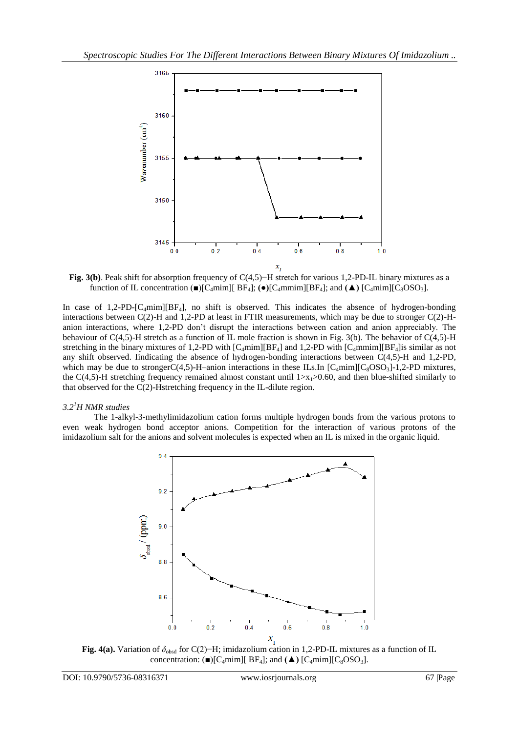

**Fig. 3(b)**. Peak shift for absorption frequency of C(4,5)−H stretch for various 1,2-PD-IL binary mixtures as a function of IL concentration  $(\blacksquare)[C_4mim][B_4]$ ;  $(\lozenge)[C_4mmin][B_4]$ ; and  $(\blacktriangle)$   $[C_4mim][C_8OSO_3]$ .

In case of  $1,2$ -PD-[C<sub>4</sub>mim][BF<sub>4</sub>], no shift is observed. This indicates the absence of hydrogen-bonding interactions between C(2)-H and 1,2-PD at least in FTIR measurements, which may be due to stronger C(2)-Hanion interactions, where 1,2-PD don't disrupt the interactions between cation and anion appreciably. The behaviour of C(4,5)-H stretch as a function of IL mole fraction is shown in Fig. 3(b). The behavior of C(4,5)-H stretching in the binary mixtures of 1,2-PD with  $\lceil C_4 \text{min} \rceil |BF_4|$  and 1,2-PD with  $\lceil C_4 \text{min} \rceil |BF_4|$  is similar as not any shift observed. Iindicating the absence of hydrogen-bonding interactions between C(4,5)-H and 1,2-PD, which may be due to strongerC(4,5)-H–anion interactions in these ILs.In  $[C_4 \text{min}][C_8 \text{OSO}_3]$ -1,2-PD mixtures, the C(4,5)-H stretching frequency remained almost constant until  $1 \rightarrow x_1 > 0.60$ , and then blue-shifted similarly to that observed for the C(2)-Hstretching frequency in the IL-dilute region.

## *3.2<sup>1</sup>H NMR studies*

The 1-alkyl-3-methylimidazolium cation forms multiple hydrogen bonds from the various protons to even weak hydrogen bond acceptor anions. Competition for the interaction of various protons of the imidazolium salt for the anions and solvent molecules is expected when an IL is mixed in the organic liquid.



**Fig. 4(a).** Variation of *δ*obsd for C(2)−H; imidazolium cation in 1,2-PD-IL mixtures as a function of IL concentration:  $\Box$ [C<sub>4</sub>mim][ BF<sub>4</sub>]; and  $\Box$  [C<sub>4</sub>mim][C<sub>8</sub>OSO<sub>3</sub>].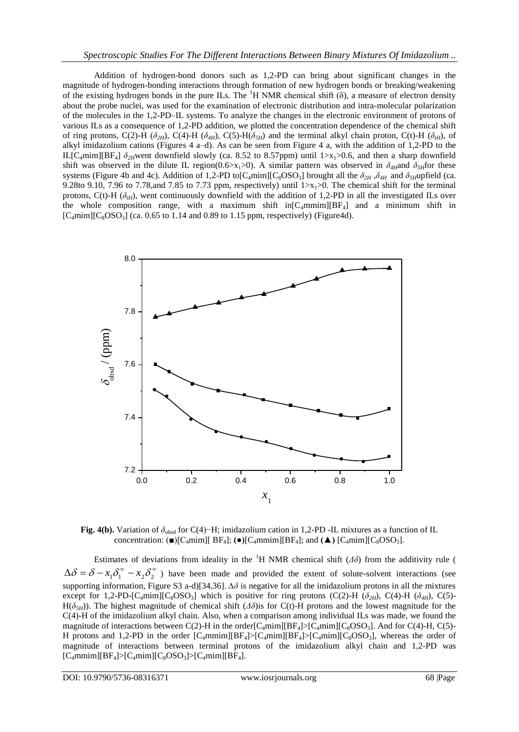Addition of hydrogen-bond donors such as 1,2-PD can bring about significant changes in the magnitude of hydrogen-bonding interactions through formation of new hydrogen bonds or breaking/weakening of the existing hydrogen bonds in the pure ILs. The <sup>1</sup>H NMR chemical shift  $(\delta)$ , a measure of electron density about the probe nuclei, was used for the examination of electronic distribution and intra-molecular polarization of the molecules in the 1,2-PD–IL systems. To analyze the changes in the electronic environment of protons of various ILs as a consequence of 1,2-PD addition, we plotted the concentration dependence of the chemical shift of ring protons, C(2)-H ( $\delta_{2H}$ ), C(4)-H ( $\delta_{4H}$ ), C(5)-H( $\delta_{5H}$ ) and the terminal alkyl chain proton, C(t)-H ( $\delta_{tH}$ ), of alkyl imidazolium cations (Figures 4 a–d). As can be seen from Figure 4 a, with the addition of 1,2-PD to the IL[C<sub>4</sub>mim][BF<sub>4</sub>]  $\delta_{2H}$ went downfield slowly (ca. 8.52 to 8.57ppm) until 1>x<sub>1</sub>>0.6, and then a sharp downfield shift was observed in the dilute IL region(0.6>x<sub>1</sub>>0). A similar pattern was observed in  $\delta_{4H}$ and  $\delta_{5H}$ for these systems (Figure 4b and 4c). Addition of 1,2-PD to[C<sub>4</sub>mim][C<sub>8</sub>OSO<sub>3</sub>] brought all the  $\delta_{2H}$ , $\delta_{4H}$  and  $\delta_{5H}$ upfield (ca. 9.28to 9.10, 7.96 to 7.78,and 7.85 to 7.73 ppm, respectively) until  $1 \times x_1 > 0$ . The chemical shift for the terminal protons, C(t)-H ( $\delta$ <sub>*tH*</sub>), went continuously downfield with the addition of 1,2-PD in all the investigated ILs over the whole composition range, with a maximum shift in $[C_4$ mmim $][BF_4]$  and a minimum shift in  $[C_4$ mim] $[C_8$ OSO<sub>3</sub>] (ca. 0.65 to 1.14 and 0.89 to 1.15 ppm, respectively) (Figure4d).



**Fig. 4(b).** Variation of *δ*obsd for C(4)−H; imidazolium cation in 1,2-PD -IL mixtures as a function of IL concentration:  $(\blacksquare)[C_4mim][BF_4]$ ;  $(\lozenge)[C_4mmin][BF_4]$ ; and  $(\blacktriangle)$   $[C_4mim][C_8OSO_3]$ .

Estimates of deviations from ideality in the <sup>1</sup>H NMR chemical shift  $(\Delta \delta)$  from the additivity rule (  $\Delta\delta = \delta - x_1\delta_1^{\infty} - x_2\delta_2^{\infty}$ ) have been made and provided the extent of solute-solvent interactions (see supporting information, Figure S3 a-d)[34,36]. *∆δ* is negative for all the imidazolium protons in all the mixtures except for 1,2-PD-[C<sub>4</sub>mim][C<sub>8</sub>OSO<sub>3</sub>] which is positive for ring protons (C(2)-H ( $\delta_{2H}$ ), C(4)-H ( $\delta_{4H}$ ), C(5)-H( $\delta$ <sub>*5H*</sub>)). The highest magnitude of chemical shift ( $\Delta \delta$ )is for C(t)-H protons and the lowest magnitude for the C(4)-H of the imidazolium alkyl chain. Also, when a comparison among individual ILs was made, we found the magnitude of interactions between C(2)-H in the order[C<sub>4</sub>mim][BF<sub>4</sub>]>[C<sub>4</sub>mim][C<sub>8</sub>OSO<sub>3</sub>]. And for C(4)-H, C(5)-H protons and 1,2-PD in the order  $[C_4 \text{mmin}][BF_4] > [C_4 \text{mim}][BF_4] > [C_4 \text{mim}][C_8 \text{OSO}_3]$ , whereas the order of magnitude of interactions between terminal protons of the imidazolium alkyl chain and 1,2-PD was  $[C_4$ mmim][BF<sub>4</sub>]>[C<sub>4</sub>mim][C<sub>8</sub>OSO<sub>3</sub>]>[C<sub>4</sub>mim][BF<sub>4</sub>].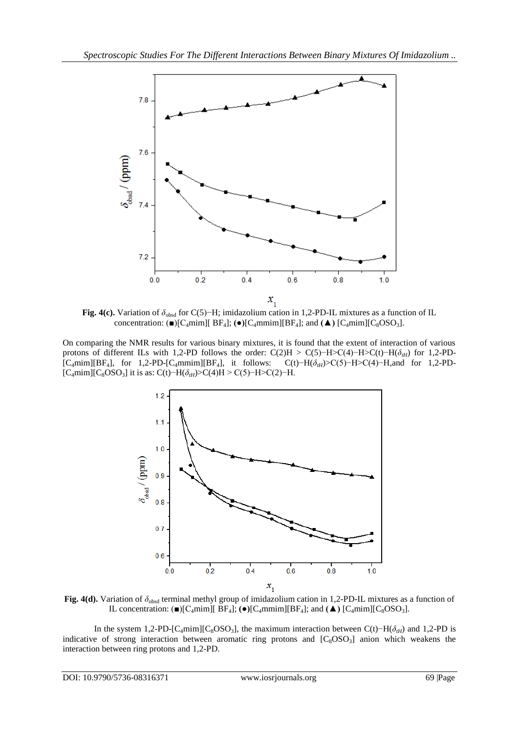

**Fig. 4(c).** Variation of *δ*obsd for C(5)−H; imidazolium cation in 1,2-PD-IL mixtures as a function of IL concentration:  $(\blacksquare)[C_4mim][BF_4]$ ;  $(\lozenge)[C_4mmin][BF_4]$ ; and  $(\blacktriangle) [C_4mim][C_8OSO_3]$ .

On comparing the NMR results for various binary mixtures, it is found that the extent of interaction of various protons of different ILs with 1,2-PD follows the order: C(2)H > C(5)−H>C(4)−H>C(t)−H( $\delta$ <sub>*tH*</sub>) for 1,2-PD-[C4mim][BF4], for 1,2-PD-[C4mmim][BF4], it follows: C(t)−H(*δtH*)>C(5)−H>C(4)−H,and for 1,2-PD- [C<sub>4</sub>mim][C<sub>8</sub>OSO<sub>3</sub>] it is as: C(t)−H( $\delta$ <sub>tH</sub>)>C(4)H > C(5)−H>C(2)−H.



**Fig. 4(d).** Variation of *δ*obsd terminal methyl group of imidazolium cation in 1,2-PD-IL mixtures as a function of IL concentration:  $\Box$ [C<sub>4</sub>mim][ BF<sub>4</sub>];  $\Theta$ [C<sub>4</sub>mmim][BF<sub>4</sub>]; and  $\Box$  [C<sub>4</sub>mim][C<sub>8</sub>OSO<sub>3</sub>].

In the system 1,2-PD-[C4mim][C8OSO3], the maximum interaction between C(t)−H(*δtH*) and 1,2-PD is indicative of strong interaction between aromatic ring protons and  $[C_8OSO_3]$  anion which weakens the interaction between ring protons and 1,2-PD.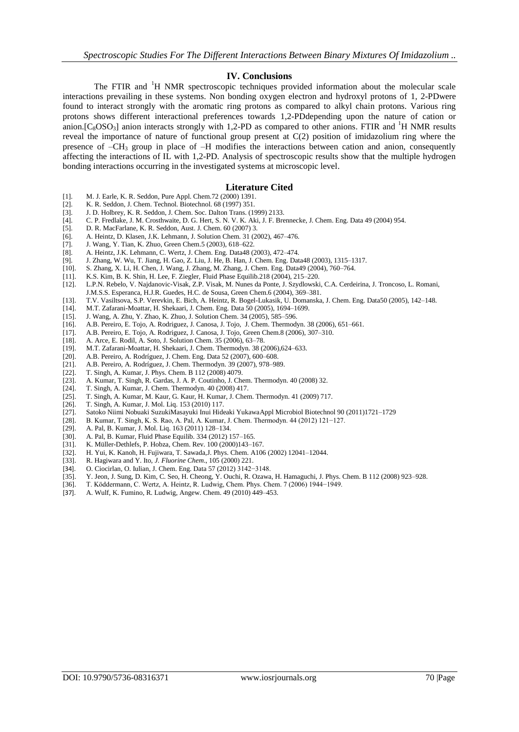#### **IV. Conclusions**

The FTIR and <sup>1</sup>H NMR spectroscopic techniques provided information about the molecular scale interactions prevailing in these systems. Non bonding oxygen electron and hydroxyl protons of 1, 2-PDwere found to interact strongly with the aromatic ring protons as compared to alkyl chain protons. Various ring protons shows different interactional preferences towards 1,2-PDdepending upon the nature of cation or anion. $[C_8OSO_3]$  anion interacts strongly with 1,2-PD as compared to other anions. FTIR and <sup>1</sup>H NMR results reveal the importance of nature of functional group present at C(2) position of imidazolium ring where the presence of  $-CH_3$  group in place of  $-H$  modifies the interactions between cation and anion, consequently affecting the interactions of IL with 1,2-PD. Analysis of spectroscopic results show that the multiple hydrogen bonding interactions occurring in the investigated systems at microscopic level.

#### **Literature Cited**

- [1]. M. J. Earle, K. R. Seddon, Pure Appl. Chem.72 (2000) 1391.
- [2]. K. R. Seddon, J. Chem. Technol. Biotechnol. 68 (1997) 351.
- J. D. Holbrey, K. R. Seddon, J. Chem. Soc. Dalton Trans. (1999) 2133.
- [4]. C. P. Fredlake, J. M. Crosthwaite, D. G. Hert, S. N. V. K. Aki, J. F. Brennecke, J. Chem. Eng. Data 49 (2004) 954.
- [5]. D. R. MacFarlane, K. R. Seddon, Aust. J. Chem. 60 (2007) 3.
- [6]. A. Heintz, D. Klasen, J.K. Lehmann, J. Solution Chem*.* 31 (2002), 467–476.
- [7]. J. Wang, Y. Tian, K. Zhuo, Green Chem.5 (2003), 618–622.
- [8]. A. Heintz, J.K. Lehmann, C. Wertz, J. Chem. Eng. Data48 (2003), 472–474.<br>[9]. J. Zhang, W. Wu, T. Jiang, H. Gao, Z. Liu, J. He, B. Han, J. Chem. Eng. Dat
- [9]. J. Zhang, W. Wu, T. Jiang, H. Gao, Z. Liu, J. He, B. Han, J. Chem. Eng. Data48 (2003), 1315–1317.
- [10]. S. Zhang, X. Li, H. Chen, J. Wang, J. Zhang, M. Zhang, J. Chem. Eng. Data49 (2004), 760–764.
- [11]. K.S. Kim, B. K. Shin, H. Lee, F. Ziegler, Fluid Phase Equilib.218 (2004), 215–220.
- [12]. L.P.N. Rebelo, V. Najdanovic-Visak, Z.P. Visak, M. Nunes da Ponte, J. Szydlowski, C.A. Cerdeirina, J. Troncoso, L. Romani,
- J.M.S.S. Esperanca, H.J.R. Guedes, H.C. de Sousa, Green Chem.6 (2004), 369–381. [13]. T.V. Vasiltsova, S.P. Verevkin, E. Bich, A. Heintz, R. Bogel-Lukasik, U. Domanska, J. Chem. Eng. Data50 (2005), 142–148.
- 
- [14]. M.T. Zafarani-Moattar, H. Shekaari, J. Chem. Eng. Data 50 (2005), 1694–1699. [15]. J. Wang, A. Zhu, Y. Zhao, K. Zhuo, J. Solution Chem. 34 (2005), 585–596.
- [16]. A.B. Pereiro, E. Tojo, A. Rodriguez, J. Canosa, J. Tojo, J. Chem. Thermodyn. 38 (2006), 651–661.
- [17]. A.B. Pereiro, E. Tojo, A. Rodriguez, J. Canosa, J. Tojo, Green Chem.8 (2006), 307–310.
- 
- [18]. A. Arce, E. Rodil, A. Soto, J. Solution Chem. 35 (2006), 63–78.<br>[19]. M.T. Zafarani-Moattar, H. Shekaari, J. Chem. Thermodyn. 38 (2006)
- [19]. M.T. Zafarani-Moattar, H. Shekaari, J. Chem. Thermodyn. 38 (2006),624–633.<br>[20]. A.B. Pereiro, A. Rodríguez, J. Chem. Eng. Data 52 (2007), 600–608. [20]. A.B. Pereiro, A. Rodríguez, J. Chem. Eng. Data 52 (2007), 600–608.
- [21]. A.B. Pereiro, A. Rodríguez, J. Chem. Thermodyn. 39 (2007), 978–989.
- 
- [22]. T. Singh, A. Kumar, J. Phys. Chem. B 112 (2008) 4079.<br>[23]. A. Kumar, T. Singh, R. Gardas, J. A. P. Coutinho, J. Che A. Kumar, T. Singh, R. Gardas, J. A. P. Coutinho, J. Chem. Thermodyn. 40 (2008) 32.
- [24]. T. Singh, A. Kumar, J. Chem. Thermodyn. 40 (2008) 417.
- [25]. T. Singh, A. Kumar, M. Kaur, G. Kaur, H. Kumar, J. Chem. Thermodyn. 41 (2009) 717. [26]. T. Singh, A. Kumar, J. Mol. Liq. 153 (2010) 117.
- [26]. T. Singh, A. Kumar, J. Mol. Liq. 153 (2010) 117.
- [27]. Satoko Niimi Nobuaki SuzukiMasayuki Inui Hideaki YukawaAppl Microbiol Biotechnol 90 (2011)1721–1729
- [28]. B. Kumar, T. Singh, K. S. Rao, A. Pal, A. Kumar, J. Chem. Thermodyn. 44 (2012) 121−127.
- 
- [29]. A. Pal, B. Kumar, J. Mol. Liq. 163 (2011) 128–134.<br>[30]. A. Pal, B. Kumar, Fluid Phase Equilib. 334 (2012) 1 [30]. A. Pal, B. Kumar, Fluid Phase Equilib. 334 (2012) 157–165.
- [31]. K. Müller-Dethlefs, P. Hobza, Chem. Rev. 100 (2000)143–167.
- [32]. H. Yui, K. Kanoh, H. Fujiwara, T. Sawada, J. Phys. Chem. A106 (2002) 12041-12044.<br>[33]. R. Hagiwara and Y. Ito, *J. Fluorine Chem.*, 105 (2000) 221.
- [33]. R. Hagiwara and Y. Ito, *J. Fluorine Chem*., 105 (2000) 221.
- [34]. O. Ciocirlan, O. Iulian, J. Chem. Eng. Data 57 (2012) 3142−3148.
- [35]. Y. Jeon, J. Sung, D. Kim, C. Seo, H. Cheong, Y. Ouchi, R. Ozawa, H. Hamaguchi, J. Phys. Chem. B 112 (2008) 923–928.
- [36]. T. Köddermann, C. Wertz, A. Heintz, R. Ludwig, Chem. Phys. Chem. 7 (2006) 1944–1949.<br>[37]. A. Wulf, K. Fumino, R. Ludwig, Angew. Chem. 49 (2010) 449–453.
- [37]. A. Wulf, K. Fumino, R. Ludwig, Angew. Chem. 49 (2010) 449–453.